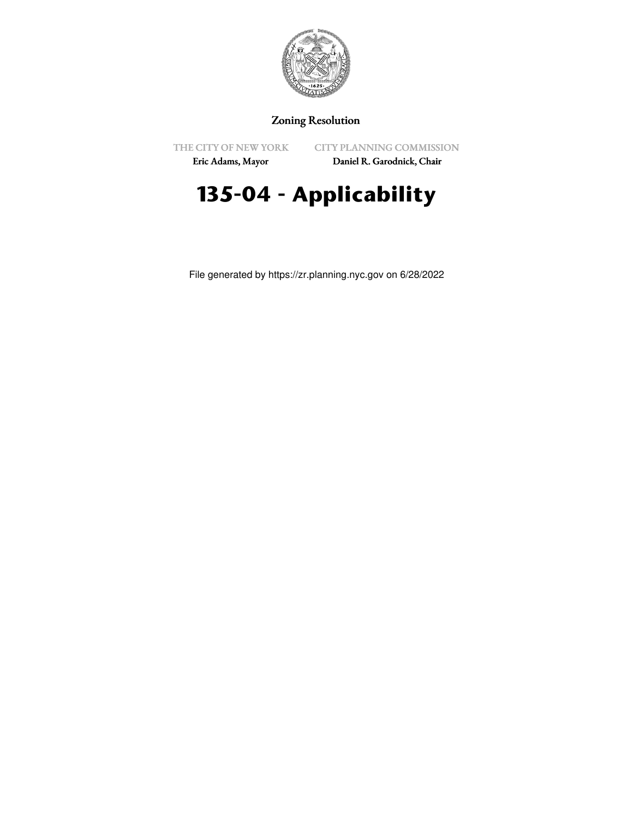

## Zoning Resolution

THE CITY OF NEW YORK

CITY PLANNING COMMISSION

Eric Adams, Mayor

Daniel R. Garodnick, Chair

# **135-04 - Applicability**

File generated by https://zr.planning.nyc.gov on 6/28/2022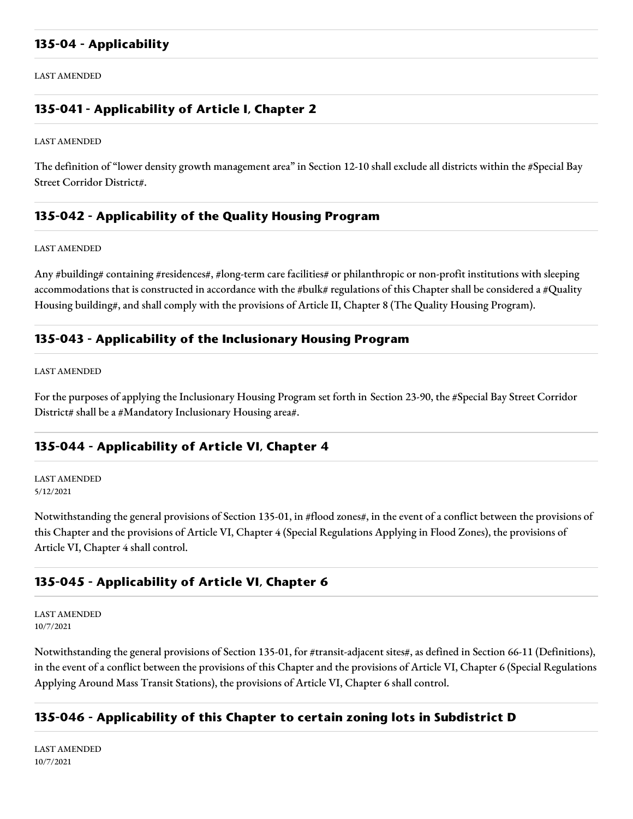### **135-04 - Applicability**

LAST AMENDED

## **135-041 - Applicability of Article I, Chapter 2**

LAST AMENDED

The definition of "lower density growth management area" in Section 12-10 shall exclude all districts within the #Special Bay Street Corridor District#.

## **135-042 - Applicability of the Quality Housing Program**

LAST AMENDED

Any #building# containing #residences#, #long-term care facilities# or philanthropic or non-profit institutions with sleeping accommodations that is constructed in accordance with the #bulk# regulations of this Chapter shall be considered a #Quality Housing building#, and shall comply with the provisions of Article II, Chapter 8 (The Quality Housing Program).

### **135-043 - Applicability of the Inclusionary Housing Program**

LAST AMENDED

For the purposes of applying the Inclusionary Housing Program set forth in Section 23-90, the #Special Bay Street Corridor District# shall be a #Mandatory Inclusionary Housing area#.

### **135-044 - Applicability of Article VI, Chapter 4**

LAST AMENDED 5/12/2021

Notwithstanding the general provisions of Section 135-01, in #flood zones#, in the event of a conflict between the provisions of this Chapter and the provisions of Article VI, Chapter 4 (Special Regulations Applying in Flood Zones), the provisions of Article VI, Chapter 4 shall control.

### **135-045 - Applicability of Article VI, Chapter 6**

LAST AMENDED 10/7/2021

Notwithstanding the general provisions of Section 135-01, for #transit-adjacent sites#, as defined in Section 66-11 (Definitions), in the event of a conflict between the provisions of this Chapter and the provisions of Article VI, Chapter 6 (Special Regulations Applying Around Mass Transit Stations), the provisions of Article VI, Chapter 6 shall control.

## **135-046 - Applicability of this Chapter to certain zoning lots in Subdistrict D**

LAST AMENDED 10/7/2021